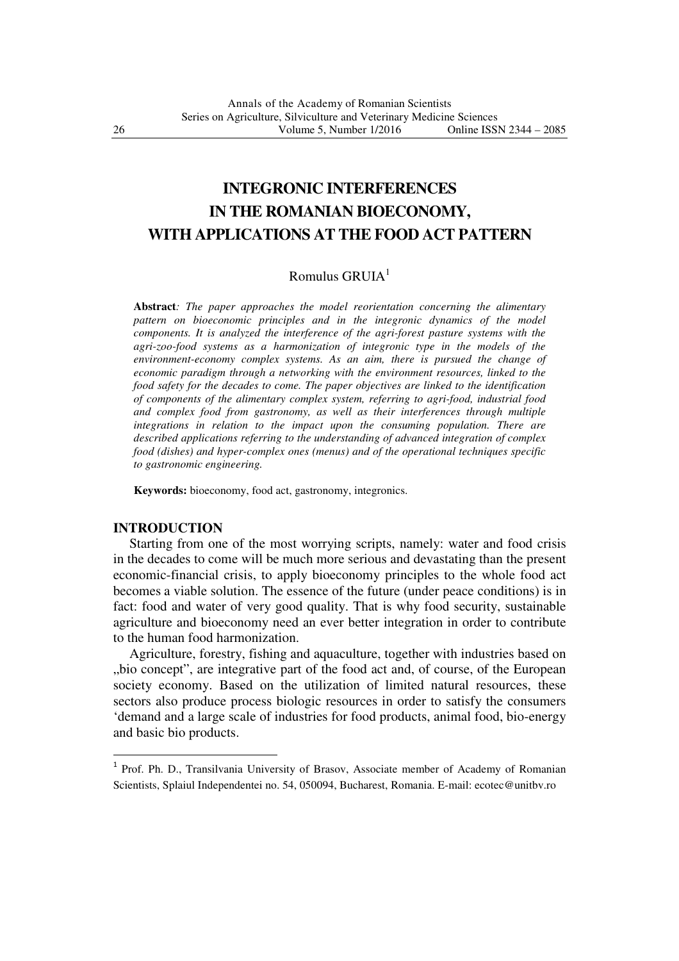# **INTEGRONIC INTERFERENCES IN THE ROMANIAN BIOECONOMY, WITH APPLICATIONS AT THE FOOD ACT PATTERN**

## Romulus  $GRUIA<sup>1</sup>$

**Abstract***: The paper approaches the model reorientation concerning the alimentary pattern on bioeconomic principles and in the integronic dynamics of the model components. It is analyzed the interference of the agri-forest pasture systems with the agri-zoo-food systems as a harmonization of integronic type in the models of the environment-economy complex systems. As an aim, there is pursued the change of economic paradigm through a networking with the environment resources, linked to the food safety for the decades to come. The paper objectives are linked to the identification of components of the alimentary complex system, referring to agri-food, industrial food and complex food from gastronomy, as well as their interferences through multiple integrations in relation to the impact upon the consuming population. There are described applications referring to the understanding of advanced integration of complex food (dishes) and hyper-complex ones (menus) and of the operational techniques specific to gastronomic engineering.*

**Keywords:** bioeconomy, food act, gastronomy, integronics.

#### **INTRODUCTION**

 $\overline{a}$ 

 Starting from one of the most worrying scripts, namely: water and food crisis in the decades to come will be much more serious and devastating than the present economic-financial crisis, to apply bioeconomy principles to the whole food act becomes a viable solution. The essence of the future (under peace conditions) is in fact: food and water of very good quality. That is why food security, sustainable agriculture and bioeconomy need an ever better integration in order to contribute to the human food harmonization.

 Agriculture, forestry, fishing and aquaculture, together with industries based on "bio concept", are integrative part of the food act and, of course, of the European society economy. Based on the utilization of limited natural resources, these sectors also produce process biologic resources in order to satisfy the consumers 'demand and a large scale of industries for food products, animal food, bio-energy and basic bio products.

<sup>&</sup>lt;sup>1</sup> Prof. Ph. D., Transilvania University of Brasov, Associate member of Academy of Romanian Scientists, Splaiul Independentei no. 54, 050094, Bucharest, Romania. E-mail: ecotec@unitbv.ro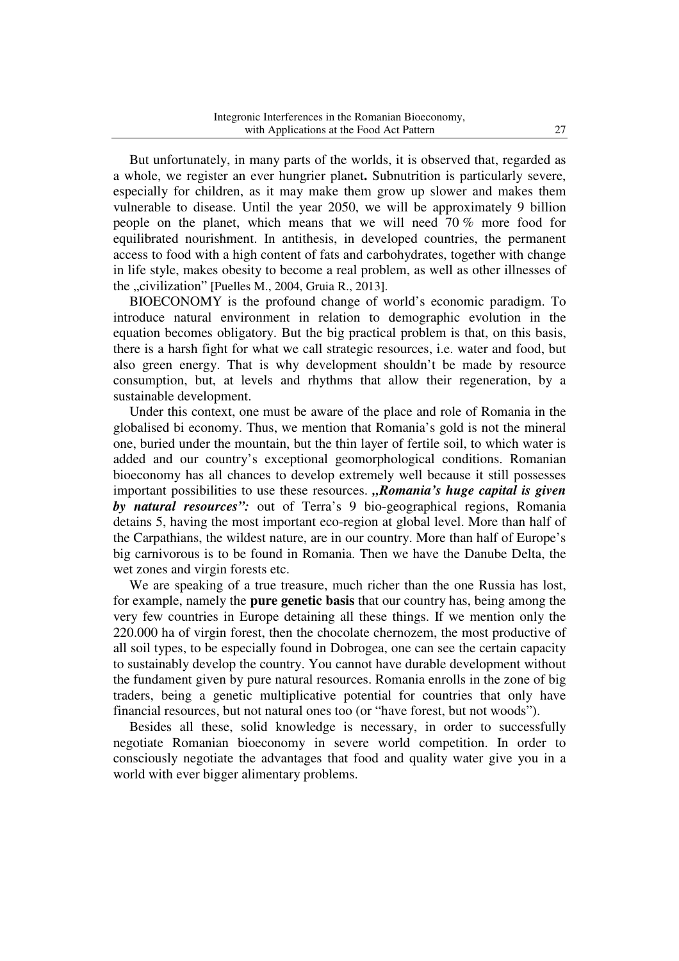But unfortunately, in many parts of the worlds, it is observed that, regarded as a whole, we register an ever hungrier planet**.** Subnutrition is particularly severe, especially for children, as it may make them grow up slower and makes them vulnerable to disease. Until the year 2050, we will be approximately 9 billion people on the planet, which means that we will need 70 % more food for equilibrated nourishment. In antithesis, in developed countries, the permanent access to food with a high content of fats and carbohydrates, together with change in life style, makes obesity to become a real problem, as well as other illnesses of the "civilization" [Puelles M., 2004, Gruia R., 2013].

 BIOECONOMY is the profound change of world's economic paradigm. To introduce natural environment in relation to demographic evolution in the equation becomes obligatory. But the big practical problem is that, on this basis, there is a harsh fight for what we call strategic resources, i.e. water and food, but also green energy. That is why development shouldn't be made by resource consumption, but, at levels and rhythms that allow their regeneration, by a sustainable development.

 Under this context, one must be aware of the place and role of Romania in the globalised bi economy. Thus, we mention that Romania's gold is not the mineral one, buried under the mountain, but the thin layer of fertile soil, to which water is added and our country's exceptional geomorphological conditions. Romanian bioeconomy has all chances to develop extremely well because it still possesses important possibilities to use these resources. "Romania's huge capital is given *by natural resources":* out of Terra's 9 bio-geographical regions, Romania detains 5, having the most important eco-region at global level. More than half of the Carpathians, the wildest nature, are in our country. More than half of Europe's big carnivorous is to be found in Romania. Then we have the Danube Delta, the wet zones and virgin forests etc.

 We are speaking of a true treasure, much richer than the one Russia has lost, for example, namely the **pure genetic basis** that our country has, being among the very few countries in Europe detaining all these things. If we mention only the 220.000 ha of virgin forest, then the chocolate chernozem, the most productive of all soil types, to be especially found in Dobrogea, one can see the certain capacity to sustainably develop the country. You cannot have durable development without the fundament given by pure natural resources. Romania enrolls in the zone of big traders, being a genetic multiplicative potential for countries that only have financial resources, but not natural ones too (or "have forest, but not woods").

 Besides all these, solid knowledge is necessary, in order to successfully negotiate Romanian bioeconomy in severe world competition. In order to consciously negotiate the advantages that food and quality water give you in a world with ever bigger alimentary problems.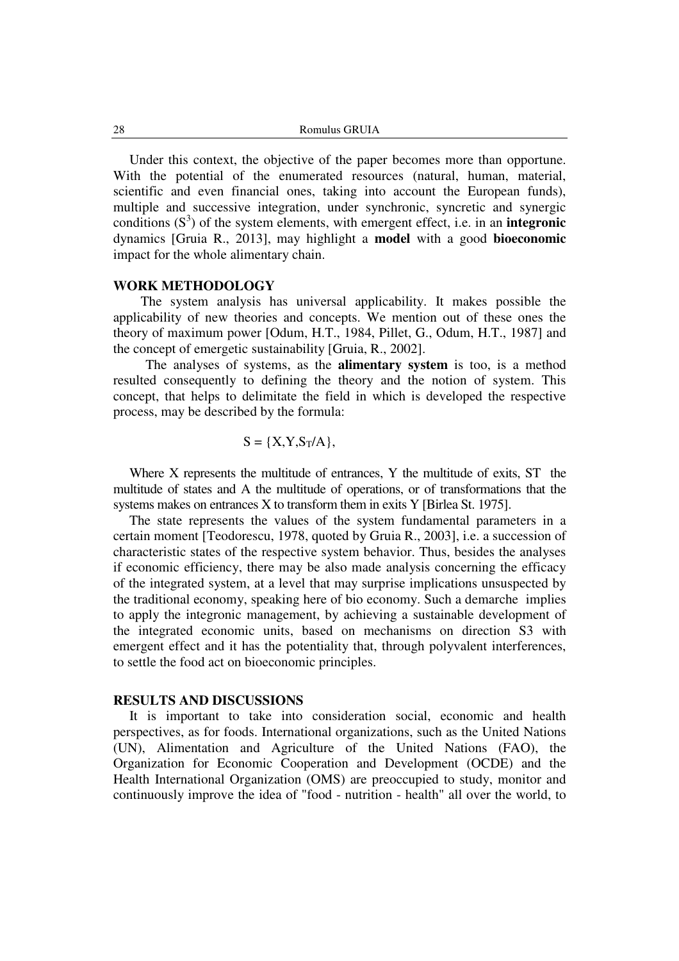Under this context, the objective of the paper becomes more than opportune. With the potential of the enumerated resources (natural, human, material, scientific and even financial ones, taking into account the European funds), multiple and successive integration, under synchronic, syncretic and synergic conditions  $(S^3)$  of the system elements, with emergent effect, i.e. in an **integronic** dynamics [Gruia R., 2013], may highlight a **model** with a good **bioeconomic** impact for the whole alimentary chain.

#### **WORK METHODOLOGY**

 The system analysis has universal applicability. It makes possible the applicability of new theories and concepts. We mention out of these ones the theory of maximum power [Odum, H.T., 1984, Pillet, G., Odum, H.T., 1987] and the concept of emergetic sustainability [Gruia, R., 2002].

The analyses of systems, as the **alimentary system** is too, is a method resulted consequently to defining the theory and the notion of system. This concept, that helps to delimitate the field in which is developed the respective process, may be described by the formula:

$$
S = \{X, Y, S_T/A\},\
$$

 Where X represents the multitude of entrances, Y the multitude of exits, ST the multitude of states and A the multitude of operations, or of transformations that the systems makes on entrances X to transform them in exits Y [Birlea St. 1975].

 The state represents the values of the system fundamental parameters in a certain moment [Teodorescu, 1978, quoted by Gruia R., 2003], i.e. a succession of characteristic states of the respective system behavior. Thus, besides the analyses if economic efficiency, there may be also made analysis concerning the efficacy of the integrated system, at a level that may surprise implications unsuspected by the traditional economy, speaking here of bio economy. Such a demarche implies to apply the integronic management, by achieving a sustainable development of the integrated economic units, based on mechanisms on direction S3 with emergent effect and it has the potentiality that, through polyvalent interferences, to settle the food act on bioeconomic principles.

#### **RESULTS AND DISCUSSIONS**

 It is important to take into consideration social, economic and health perspectives, as for foods. International organizations, such as the United Nations (UN), Alimentation and Agriculture of the United Nations (FAO), the Organization for Economic Cooperation and Development (OCDE) and the Health International Organization (OMS) are preoccupied to study, monitor and continuously improve the idea of "food - nutrition - health" all over the world, to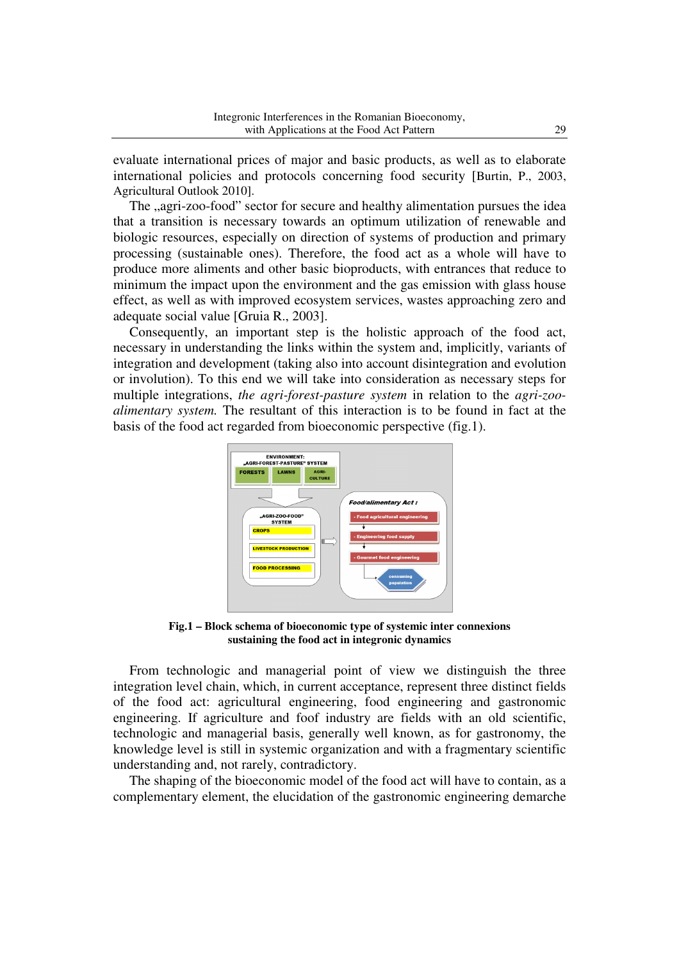evaluate international prices of major and basic products, as well as to elaborate international policies and protocols concerning food security [Burtin, P., 2003, Agricultural Outlook 2010].

The "agri-zoo-food" sector for secure and healthy alimentation pursues the idea that a transition is necessary towards an optimum utilization of renewable and biologic resources, especially on direction of systems of production and primary processing (sustainable ones). Therefore, the food act as a whole will have to produce more aliments and other basic bioproducts, with entrances that reduce to minimum the impact upon the environment and the gas emission with glass house effect, as well as with improved ecosystem services, wastes approaching zero and adequate social value [Gruia R., 2003].

 Consequently, an important step is the holistic approach of the food act, necessary in understanding the links within the system and, implicitly, variants of integration and development (taking also into account disintegration and evolution or involution). To this end we will take into consideration as necessary steps for multiple integrations, *the agri-forest-pasture system* in relation to the *agri-zooalimentary system.* The resultant of this interaction is to be found in fact at the basis of the food act regarded from bioeconomic perspective (fig.1).



**Fig.1 – Block schema of bioeconomic type of systemic inter connexions sustaining the food act in integronic dynamics** 

 From technologic and managerial point of view we distinguish the three integration level chain, which, in current acceptance, represent three distinct fields of the food act: agricultural engineering, food engineering and gastronomic engineering. If agriculture and foof industry are fields with an old scientific, technologic and managerial basis, generally well known, as for gastronomy, the knowledge level is still in systemic organization and with a fragmentary scientific understanding and, not rarely, contradictory.

 The shaping of the bioeconomic model of the food act will have to contain, as a complementary element, the elucidation of the gastronomic engineering demarche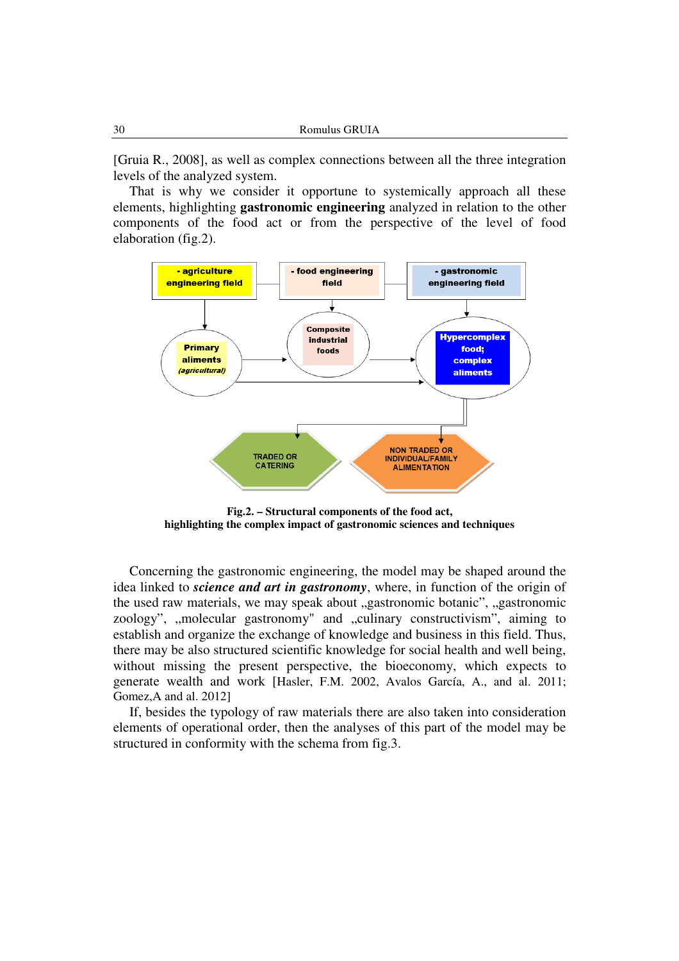[Gruia R., 2008], as well as complex connections between all the three integration levels of the analyzed system.

 That is why we consider it opportune to systemically approach all these elements, highlighting **gastronomic engineering** analyzed in relation to the other components of the food act or from the perspective of the level of food elaboration (fig.2).



**Fig.2. – Structural components of the food act, highlighting the complex impact of gastronomic sciences and techniques** 

 Concerning the gastronomic engineering, the model may be shaped around the idea linked to *science and art in gastronomy*, where, in function of the origin of the used raw materials, we may speak about "gastronomic botanic", "gastronomic zoology", "molecular gastronomy" and "culinary constructivism", aiming to establish and organize the exchange of knowledge and business in this field. Thus, there may be also structured scientific knowledge for social health and well being, without missing the present perspective, the bioeconomy, which expects to generate wealth and work [Hasler, F.M. 2002, Avalos García, A., and al. 2011; Gomez,A and al. 2012]

 If, besides the typology of raw materials there are also taken into consideration elements of operational order, then the analyses of this part of the model may be structured in conformity with the schema from fig.3.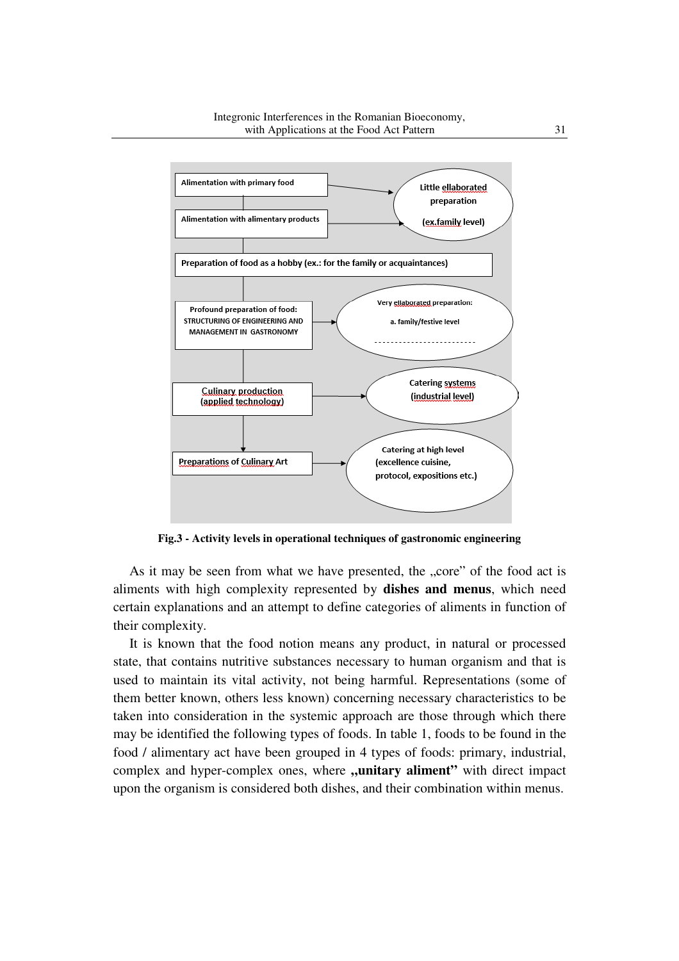

Integronic Interferences in the Romanian Bioeconomy,



**Fig.3 - Activity levels in operational techniques of gastronomic engineering** 

As it may be seen from what we have presented, the "core" of the food act is aliments with high complexity represented by **dishes and menus**, which need certain explanations and an attempt to define categories of aliments in function of their complexity.

It is known that the food notion means any product, in natural or processed state, that contains nutritive substances necessary to human organism and that is used to maintain its vital activity, not being harmful. Representations (some of them better known, others less known) concerning necessary characteristics to be taken into consideration in the systemic approach are those through which there may be identified the following types of foods. In table 1, foods to be found in the food / alimentary act have been grouped in 4 types of foods: primary, industrial, complex and hyper-complex ones, where **,,unitary aliment**" with direct impact upon the organism is considered both dishes, and their combination within menus.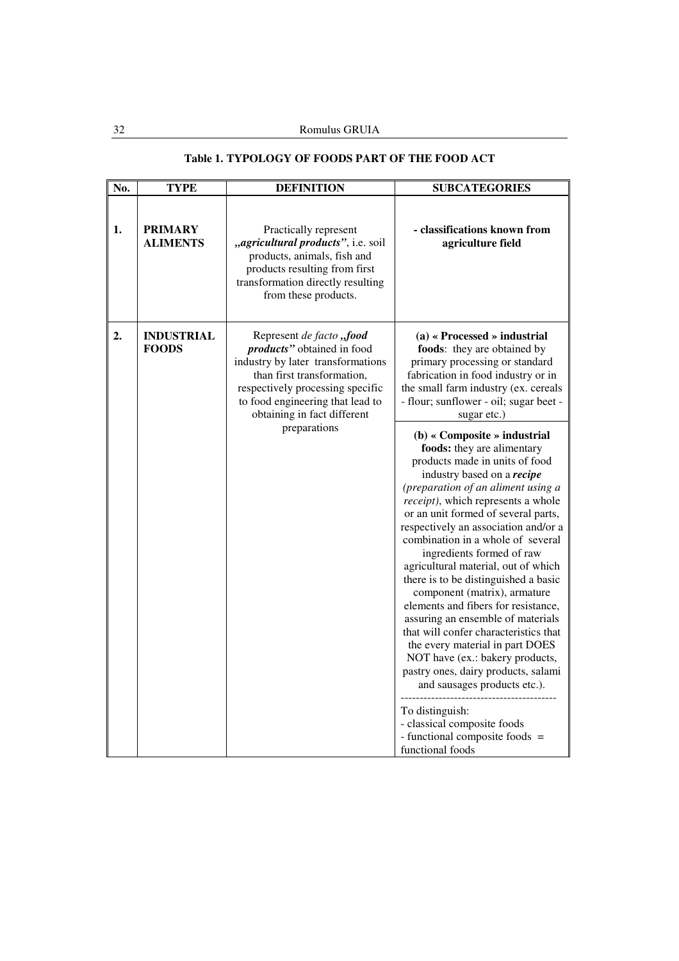## **Table 1. TYPOLOGY OF FOODS PART OF THE FOOD ACT**

| No. | <b>TYPE</b>                       | <b>DEFINITION</b>                                                                                                                                                                                                                | <b>SUBCATEGORIES</b>                                                                                                                                                                                                                                                                                                                                                                                                                                                                                                                                                                                                                                                                                                                                                                                                                                     |
|-----|-----------------------------------|----------------------------------------------------------------------------------------------------------------------------------------------------------------------------------------------------------------------------------|----------------------------------------------------------------------------------------------------------------------------------------------------------------------------------------------------------------------------------------------------------------------------------------------------------------------------------------------------------------------------------------------------------------------------------------------------------------------------------------------------------------------------------------------------------------------------------------------------------------------------------------------------------------------------------------------------------------------------------------------------------------------------------------------------------------------------------------------------------|
| 1.  | <b>PRIMARY</b><br><b>ALIMENTS</b> | Practically represent<br>"agricultural products", i.e. soil<br>products, animals, fish and<br>products resulting from first<br>transformation directly resulting<br>from these products.                                         | - classifications known from<br>agriculture field                                                                                                                                                                                                                                                                                                                                                                                                                                                                                                                                                                                                                                                                                                                                                                                                        |
| 2.  | <b>INDUSTRIAL</b><br><b>FOODS</b> | Represent de facto "food<br>products" obtained in food<br>industry by later transformations<br>than first transformation,<br>respectively processing specific<br>to food engineering that lead to<br>obtaining in fact different | $(a)$ « Processed » industrial<br>foods: they are obtained by<br>primary processing or standard<br>fabrication in food industry or in<br>the small farm industry (ex. cereals<br>- flour; sunflower - oil; sugar beet -<br>sugar etc.)                                                                                                                                                                                                                                                                                                                                                                                                                                                                                                                                                                                                                   |
|     |                                   | preparations                                                                                                                                                                                                                     | (b) « Composite » industrial<br>foods: they are alimentary<br>products made in units of food<br>industry based on a recipe<br>(preparation of an aliment using a<br><i>receipt</i> ), which represents a whole<br>or an unit formed of several parts,<br>respectively an association and/or a<br>combination in a whole of several<br>ingredients formed of raw<br>agricultural material, out of which<br>there is to be distinguished a basic<br>component (matrix), armature<br>elements and fibers for resistance,<br>assuring an ensemble of materials<br>that will confer characteristics that<br>the every material in part DOES<br>NOT have (ex.: bakery products,<br>pastry ones, dairy products, salami<br>and sausages products etc.).<br>To distinguish:<br>- classical composite foods<br>- functional composite foods =<br>functional foods |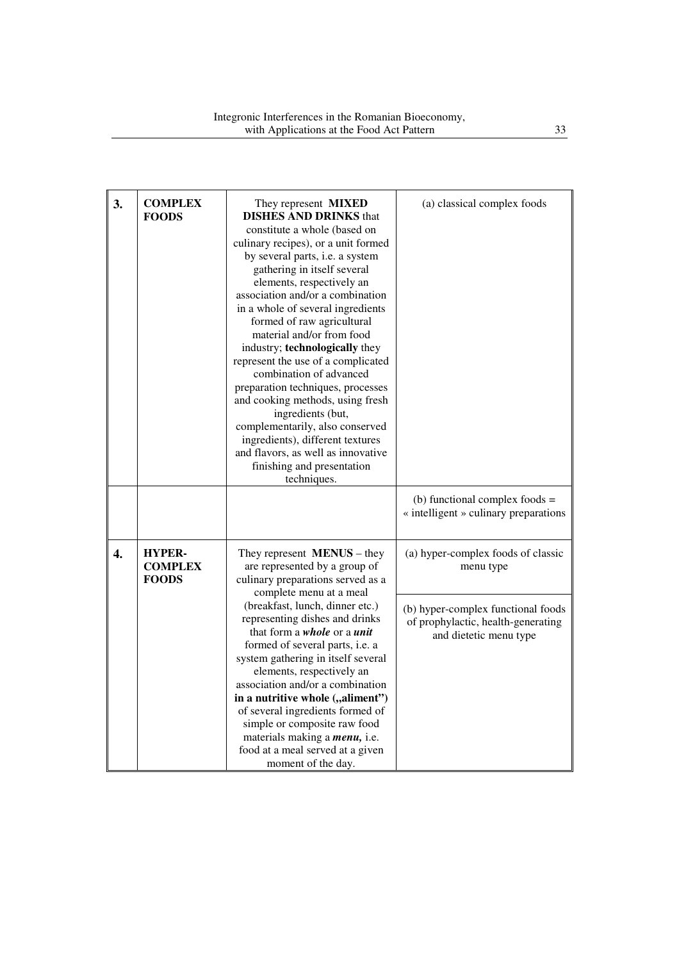| 3. | <b>COMPLEX</b><br><b>FOODS</b>                  | They represent <b>MIXED</b><br><b>DISHES AND DRINKS that</b><br>constitute a whole (based on<br>culinary recipes), or a unit formed<br>by several parts, i.e. a system<br>gathering in itself several<br>elements, respectively an<br>association and/or a combination<br>in a whole of several ingredients<br>formed of raw agricultural<br>material and/or from food<br>industry; technologically they<br>represent the use of a complicated<br>combination of advanced<br>preparation techniques, processes<br>and cooking methods, using fresh<br>ingredients (but,<br>complementarily, also conserved<br>ingredients), different textures<br>and flavors, as well as innovative<br>finishing and presentation<br>techniques. | (a) classical complex foods                                                                                                                           |
|----|-------------------------------------------------|-----------------------------------------------------------------------------------------------------------------------------------------------------------------------------------------------------------------------------------------------------------------------------------------------------------------------------------------------------------------------------------------------------------------------------------------------------------------------------------------------------------------------------------------------------------------------------------------------------------------------------------------------------------------------------------------------------------------------------------|-------------------------------------------------------------------------------------------------------------------------------------------------------|
|    |                                                 |                                                                                                                                                                                                                                                                                                                                                                                                                                                                                                                                                                                                                                                                                                                                   | (b) functional complex foods $=$<br>« intelligent » culinary preparations                                                                             |
| 4. | <b>HYPER-</b><br><b>COMPLEX</b><br><b>FOODS</b> | They represent $MEMUS - they$<br>are represented by a group of<br>culinary preparations served as a<br>complete menu at a meal<br>(breakfast, lunch, dinner etc.)<br>representing dishes and drinks<br>that form a <i>whole</i> or a <i>unit</i><br>formed of several parts, i.e. a<br>system gathering in itself several<br>elements, respectively an<br>association and/or a combination<br>in a nutritive whole ("aliment")<br>of several ingredients formed of<br>simple or composite raw food<br>materials making a <i>menu</i> , i.e.<br>food at a meal served at a given<br>moment of the day.                                                                                                                             | (a) hyper-complex foods of classic<br>menu type<br>(b) hyper-complex functional foods<br>of prophylactic, health-generating<br>and dietetic menu type |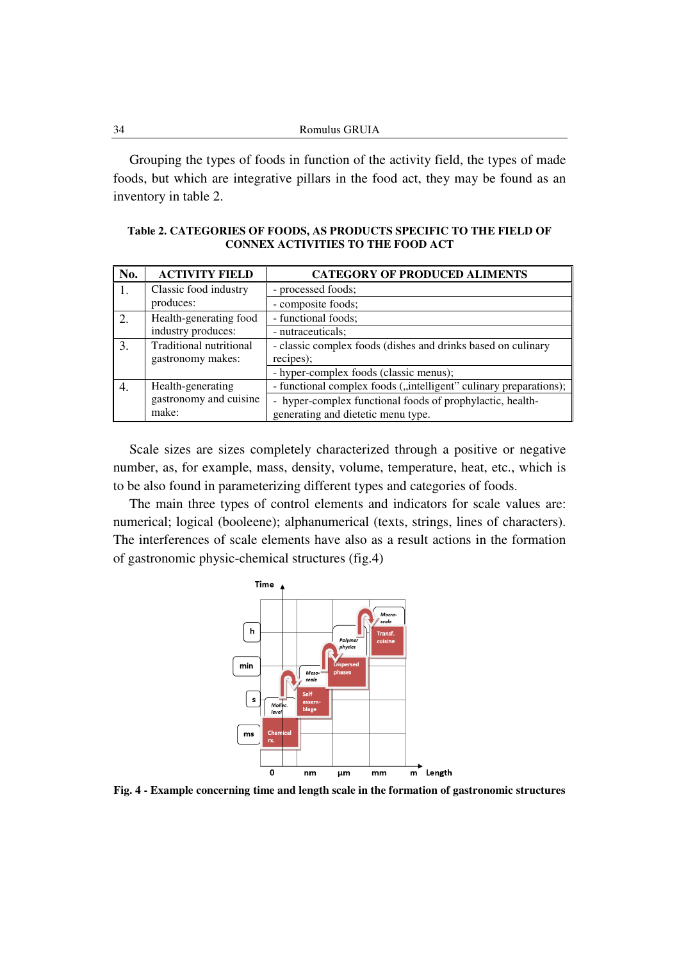| 34 | Romulus GRUIA |
|----|---------------|
|    |               |

 Grouping the types of foods in function of the activity field, the types of made foods, but which are integrative pillars in the food act, they may be found as an inventory in table 2.

**Table 2. CATEGORIES OF FOODS, AS PRODUCTS SPECIFIC TO THE FIELD OF CONNEX ACTIVITIES TO THE FOOD ACT** 

| No.              | <b>ACTIVITY FIELD</b>   | <b>CATEGORY OF PRODUCED ALIMENTS</b>                              |
|------------------|-------------------------|-------------------------------------------------------------------|
|                  | Classic food industry   | - processed foods;                                                |
|                  | produces:               | - composite foods;                                                |
| $\overline{2}$ . | Health-generating food  | - functional foods;                                               |
|                  | industry produces:      | - nutraceuticals;                                                 |
| 3.               | Traditional nutritional | - classic complex foods (dishes and drinks based on culinary      |
|                  | gastronomy makes:       | recipes);                                                         |
|                  |                         | - hyper-complex foods (classic menus);                            |
| 4.               | Health-generating       | - functional complex foods ("intelligent" culinary preparations); |
|                  | gastronomy and cuisine  | - hyper-complex functional foods of prophylactic, health-         |
|                  | make:                   | generating and dietetic menu type.                                |
|                  |                         |                                                                   |

 Scale sizes are sizes completely characterized through a positive or negative number, as, for example, mass, density, volume, temperature, heat, etc., which is to be also found in parameterizing different types and categories of foods.

 The main three types of control elements and indicators for scale values are: numerical; logical (booleene); alphanumerical (texts, strings, lines of characters). The interferences of scale elements have also as a result actions in the formation of gastronomic physic-chemical structures (fig.4)



**Fig. 4 - Example concerning time and length scale in the formation of gastronomic structures**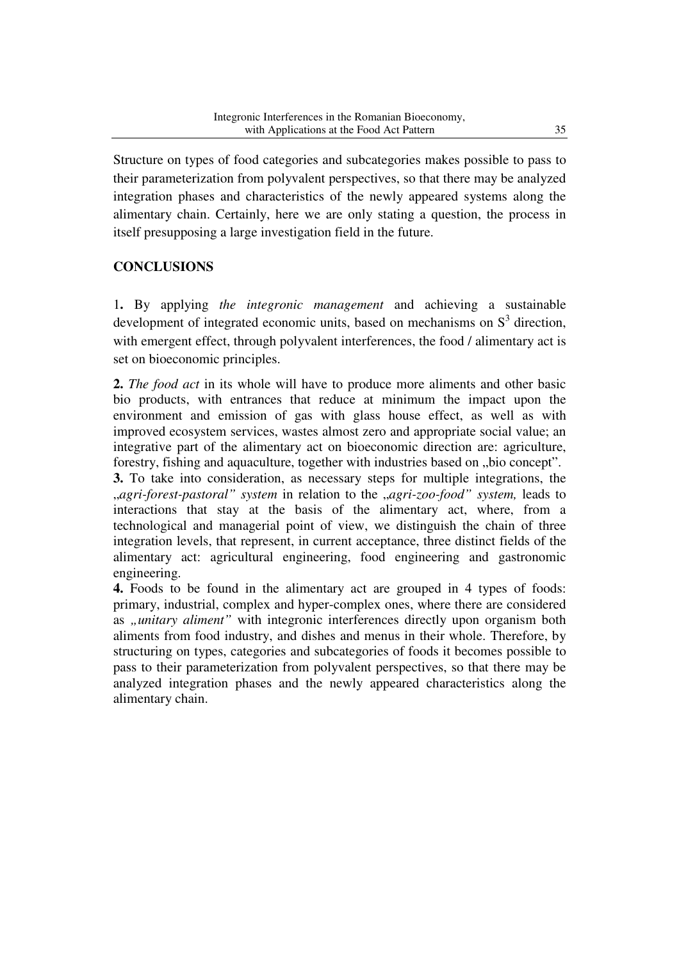Structure on types of food categories and subcategories makes possible to pass to their parameterization from polyvalent perspectives, so that there may be analyzed integration phases and characteristics of the newly appeared systems along the alimentary chain. Certainly, here we are only stating a question, the process in itself presupposing a large investigation field in the future.

## **CONCLUSIONS**

1**.** By applying *the integronic management* and achieving a sustainable development of integrated economic units, based on mechanisms on  $S<sup>3</sup>$  direction, with emergent effect, through polyvalent interferences, the food / alimentary act is set on bioeconomic principles.

**2.** *The food act* in its whole will have to produce more aliments and other basic bio products, with entrances that reduce at minimum the impact upon the environment and emission of gas with glass house effect, as well as with improved ecosystem services, wastes almost zero and appropriate social value; an integrative part of the alimentary act on bioeconomic direction are: agriculture, forestry, fishing and aquaculture, together with industries based on "bio concept".

**3.** To take into consideration, as necessary steps for multiple integrations, the "*agri-forest-pastoral" system* in relation to the "*agri-zoo-food" system,* leads to interactions that stay at the basis of the alimentary act, where, from a technological and managerial point of view, we distinguish the chain of three integration levels, that represent, in current acceptance, three distinct fields of the alimentary act: agricultural engineering, food engineering and gastronomic engineering.

**4.** Foods to be found in the alimentary act are grouped in 4 types of foods: primary, industrial, complex and hyper-complex ones, where there are considered as *"unitary aliment*" with integronic interferences directly upon organism both aliments from food industry, and dishes and menus in their whole. Therefore, by structuring on types, categories and subcategories of foods it becomes possible to pass to their parameterization from polyvalent perspectives, so that there may be analyzed integration phases and the newly appeared characteristics along the alimentary chain.